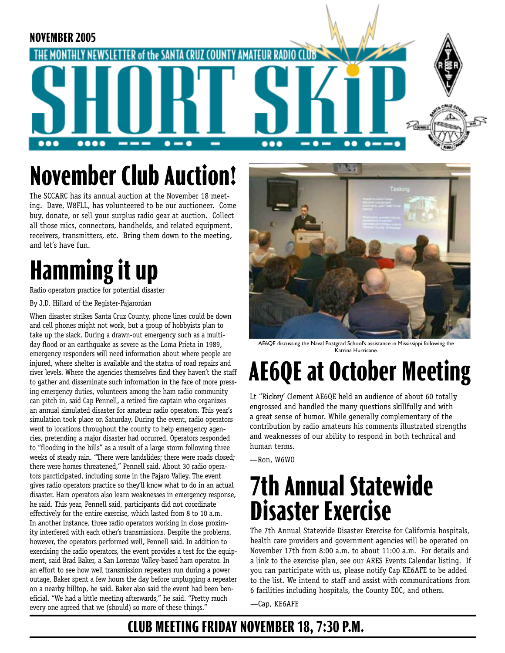

# **November Club Auction!**

The SCCARC has its annual auction at the November 18 meeting. Dave, W8FLL, has volunteered to be our auctioneer. Come buy, donate, or sell your surplus radio gear at auction. Collect all those mics, connectors, handhelds, and related equipment, receivers, transmitters, etc. Bring them down to the meeting, and let's have fun.

# **Hamming it up**

Radio operators practice for potential disaster

By J.D. Hillard of the Register-Pajaronian

When disaster strikes Santa Cruz County, phone lines could be down and cell phones might not work, but a group of hobbyists plan to take up the slack. During a drawn-out emergency such as a multiday flood or an earthquake as severe as the Loma Prieta in 1989, emergency responders will need information about where people are injured, where shelter is available and the status of road repairs and river levels. Where the agencies themselves find they haven't the staff to gather and disseminate such information in the face of more pressing emergency duties, volunteers among the ham radio community can pitch in, said Cap Pennell, a retired fire captain who organizes an annual simulated disaster for amateur radio operators. This year's simulation took place on Saturday. During the event, radio operators went to locations throughout the county to help emergency agencies, pretending a major disaster had occurred. Operators responded to "flooding in the hills" as a result of a large storm following three weeks of steady rain. "There were landslides; there were roads closed; there were homes threatened," Pennell said. About 30 radio operators parcticipated, including some in the Pajaro Valley. The event gives radio operators practice so they'll know what to do in an actual disaster. Ham operators also learn weaknesses in emergency response, he said. This year, Pennell said, participants did not coordinate effectively for the entire exercise, which lasted from 8 to 10 a.m. In another instance, three radio operators working in close proximity interfered with each other's transmissions. Despite the problems, however, the operators performed well, Pennell said. In addition to exercising the radio operators, the event provides a test for the equipment, said Brad Baker, a San Lorenzo Valley-based ham operator. In an effort to see how well transmission repeaters run during a power outage, Baker spent a few hours the day before unplugging a repeater on a nearby hilltop, he said. Baker also said the event had been beneficial. "We had a little meeting afterwards," he said. "Pretty much every one agreed that we (should) so more of these things."



AE6QE discussing the Naval Postgrad School's assistance in Mississippi following the Katrina Hurricane.

# **AE6QE at October Meeting**

Lt "Rickey' Clement AE6QE held an audience of about 60 totally engrossed and handled the many questions skillfully and with a great sense of humor. While generally complementary of the contribution by radio amateurs his comments illustrated strengths and weaknesses of our ability to respond in both technical and human terms.

—Ron, W6WO

## **7th Annual Statewide Disaster Exercise**

The 7th Annual Statewide Disaster Exercise for California hospitals, health care providers and government agencies will be operated on November 17th from 8:00 a.m. to about 11:00 a.m. For details and a link to the exercise plan, see our ARES Events Calendar listing. If you can participate with us, please notify Cap KE6AFE to be added to the list. We intend to staff and assist with communications from 6 facilities including hospitals, the County EOC, and others.

—Cap, KE6AFE

### **CLUB MEETING FRIDAY NOVEMBER 18, 7:30 P.M.**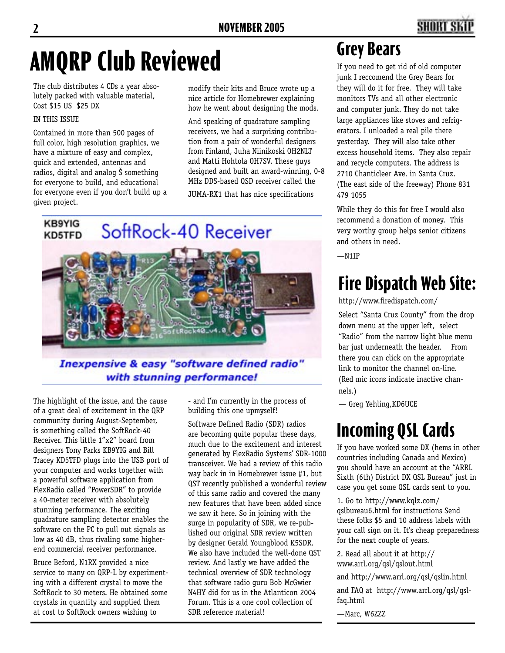### **2 NOVEMBER 2005 3**

# **AMQRP Club Reviewed**

The club distributes 4 CDs a year absolutely packed with valuable material, Cost \$15 US \$25 DX

#### IN THIS ISSUE

Contained in more than 500 pages of full color, high resolution graphics, we have a mixture of easy and complex, quick and extended, antennas and radios, digital and analog Š something for everyone to build, and educational for everyone even if you don't build up a given project.

modify their kits and Bruce wrote up a nice article for Homebrewer explaining how he went about designing the mods.

And speaking of quadrature sampling receivers, we had a surprising contribution from a pair of wonderful designers from Finland, Juha Niinikoski OH2NLT and Matti Hohtola OH7SV. These guys designed and built an award-winning, 0-8 MHz DDS-based QSD receiver called the

JUMA-RX1 that has nice specifications

# **KB9YIG** SoftRock-40 Receiver KD5TFD

#### **Inexpensive & easy "software defined radio"** with stunning performance!

The highlight of the issue, and the cause of a great deal of excitement in the QRP community during August-September, is something called the SoftRock-40 Receiver. This little 1"x2" board from designers Tony Parks KB9YIG and Bill Tracey KD5TFD plugs into the USB port of your computer and works together with a powerful software application from FlexRadio called "PowerSDR" to provide a 40-meter receiver with absolutely stunning performance. The exciting quadrature sampling detector enables the software on the PC to pull out signals as low as 40 dB, thus rivaling some higherend commercial receiver performance.

Bruce Beford, N1RX provided a nice service to many on QRP-L by experimenting with a different crystal to move the SoftRock to 30 meters. He obtained some crystals in quantity and supplied them at cost to SoftRock owners wishing to

- and I'm currently in the process of building this one upmyself!

Software Defined Radio (SDR) radios are becoming quite popular these days, much due to the excitement and interest generated by FlexRadio Systems' SDR-1000 transceiver. We had a review of this radio way back in in Homebrewer issue #1, but QST recently published a wonderful review of this same radio and covered the many new features that have been added since we saw it here. So in joining with the surge in popularity of SDR, we re-published our original SDR review written by designer Gerald Youngblood K5SDR. We also have included the well-done OST review. And lastly we have added the technical overview of SDR technology that software radio guru Bob McGwier N4HY did for us in the Atlanticon 2004 Forum. This is a one cool collection of SDR reference material!

### **Grey Bears**

If you need to get rid of old computer junk I reccomend the Grey Bears for they will do it for free. They will take monitors TVs and all other electronic and computer junk. They do not take large appliances like stoves and refrigerators. I unloaded a real pile there yesterday. They will also take other excess household items. They also repair and recycle computers. The address is 2710 Chanticleer Ave. in Santa Cruz. (The east side of the freeway) Phone 831 479 1055

While they do this for free I would also recommend a donation of money. This very worthy group helps senior citizens and others in need.

—N1IP

### **Fire Dispatch Web Site:**

http://www.firedispatch.com/

Select "Santa Cruz County" from the drop down menu at the upper left, select "Radio" from the narrow light blue menu bar just underneath the header. From there you can click on the appropriate link to monitor the channel on-line. (Red mic icons indicate inactive channels.)

— Greg Yehling,KD6UCE

### **Incoming QSL Cards**

If you have worked some DX (hems in other countries including Canada and Mexico) you should have an account at the "ARRL Sixth (6th) District DX QSL Bureau" just in case you get some QSL cards sent to you.

1. Go to http://www.kqlz.com/ qslbureau6.html for instructions Send these folks \$5 and 10 address labels with your call sign on it. It's cheap preparedness for the next couple of years.

2. Read all about it at http:// www.arrl.org/qsl/qslout.html

and http://www.arrl.org/qsl/qslin.html

and FAQ at http://www.arrl.org/qsl/qslfaq.html

—Marc, W6ZZZ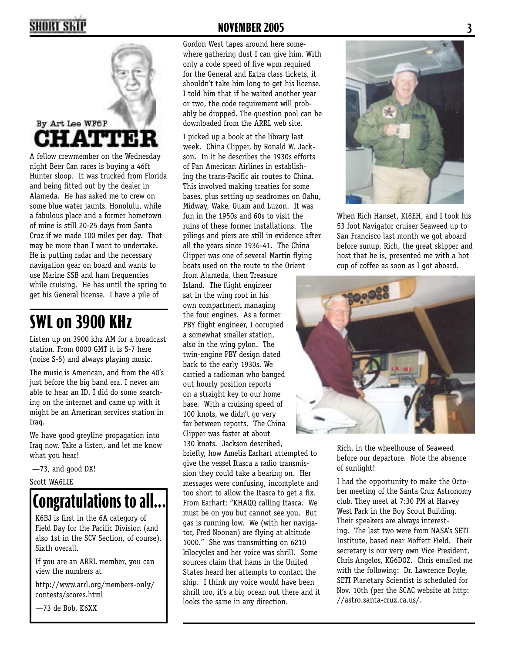

A fellow crewmember on the Wednesday night Beer Can races is buying a 46ft Hunter sloop. It was trucked from Florida and being fitted out by the dealer in Alameda. He has asked me to crew on some blue water jaunts. Honolulu, while a fabulous place and a former hometown of mine is still 20-25 days from Santa Cruz if we made 100 miles per day. That may be more than I want to undertake. He is putting radar and the necessary navigation gear on board and wants to use Marine SSB and ham frequencies while cruising. He has until the spring to get his General license. I have a pile of

### **SWL on 3900 KHz**

Listen up on 3900 khz AM for a broadcast station. From 0000 GMT it is S-7 here (noise S-5) and always playing music.

The music is American, and from the 40's just before the big band era. I never am able to hear an ID. I did do some searching on the internet and came up with it might be an American services station in Iraq.

We have good greyline propagation into Iraq now. Take a listen, and let me know what you hear!

—73, and good DX!

Scott WA6LIE

### **Congratulations to all...**

K6BJ is first in the 6A category of Field Day for the Pacific Division (and also 1st in the SCV Section, of course). Sixth overall.

If you are an ARRL member, you can view the numbers at

http://www.arrl.org/members-only/ contests/scores.html

—73 de Bob, K6XX

#### **2 NOVEMBER 2005 3**

Gordon West tapes around here somewhere gathering dust I can give him. With only a code speed of five wpm required for the General and Extra class tickets, it shouldn't take him long to get his license. I told him that if he waited another year or two, the code requirement will probably be dropped. The question pool can be downloaded from the ARRL web site.

I picked up a book at the library last week. China Clipper, by Ronald W. Jackson. In it he describes the 1930s efforts of Pan American Airlines in establishing the trans-Pacific air routes to China. This involved making treaties for some bases, plus setting up seadromes on Oahu, Midway, Wake, Guam and Luzon. It was fun in the 1950s and 60s to visit the ruins of these former installations. The pilings and piers are still in evidence after all the years since 1936-41. The China Clipper was one of several Martin flying boats used on the route to the Orient

from Alameda, then Treasure Island. The flight engineer sat in the wing root in his own compartment managing the four engines. As a former PBY flight engineer, I occupied a somewhat smaller station, also in the wing pylon. The twin-engine PBY design dated back to the early 1930s. We carried a radioman who banged out hourly position reports on a straight key to our home base. With a cruising speed of 100 knots, we didn't go very far between reports. The China Clipper was faster at about 130 knots. Jackson described, briefly, how Amelia Earhart attempted to give the vessel Itasca a radio transmission they could take a bearing on. Her messages were confusing, incomplete and too short to allow the Itasca to get a fix. From Earhart: "KHAQQ calling Itasca. We must be on you but cannot see you. But gas is running low. We (with her navigator, Fred Noonan) are flying at altitude 1000." She was transmitting on 6210 kilocycles and her voice was shrill. Some sources claim that hams in the United States heard her attempts to contact the ship. I think my voice would have been shrill too, it's a big ocean out there and it looks the same in any direction.



When Rich Hanset, KI6EH, and I took his 53 foot Navigator cruiser Seaweed up to San Francisco last month we got aboard before sunup. Rich, the great skipper and host that he is, presented me with a hot cup of coffee as soon as I got aboard.



Rich, in the wheelhouse of Seaweed before our departure. Note the absence of sunlight!

I had the opportunity to make the October meeting of the Santa Cruz Astronomy club. They meet at 7:30 PM at Harvey West Park in the Boy Scout Building. Their speakers are always interesting. The last two were from NASA's SETI Institute, based near Moffett Field. Their secretary is our very own Vice President, Chris Angelos, KG6DOZ. Chris emailed me with the following: Dr. Lawrence Doyle, SETI Planetary Scientist is scheduled for Nov. 10th (per the SCAC website at http: //astro.santa-cruz.ca.us/.